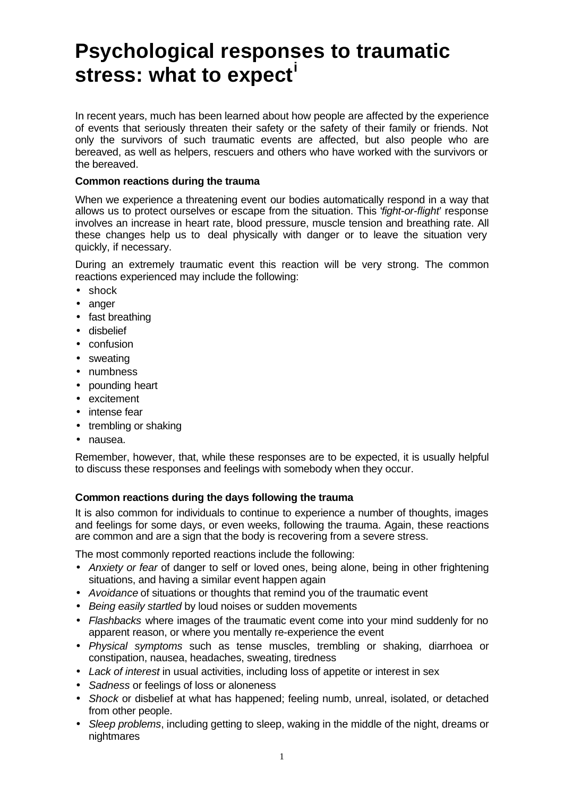## **Psychological responses to traumatic stress: what to expect<sup>i</sup>**

In recent years, much has been learned about how people are affected by the experience of events that seriously threaten their safety or the safety of their family or friends. Not only the survivors of such traumatic events are affected, but also people who are bereaved, as well as helpers, rescuers and others who have worked with the survivors or the bereaved.

## **Common reactions during the trauma**

When we experience a threatening event our bodies automatically respond in a way that allows us to protect ourselves or escape from the situation. This '*fight-or-flight*' response involves an increase in heart rate, blood pressure, muscle tension and breathing rate. All these changes help us to deal physically with danger or to leave the situation very quickly, if necessary.

During an extremely traumatic event this reaction will be very strong. The common reactions experienced may include the following:

- shock
- anger
- fast breathing
- disbelief
- confusion
- sweating
- numbness
- pounding heart
- excitement
- intense fear
- trembling or shaking
- nausea.

Remember, however, that, while these responses are to be expected, it is usually helpful to discuss these responses and feelings with somebody when they occur.

## **Common reactions during the days following the trauma**

It is also common for individuals to continue to experience a number of thoughts, images and feelings for some days, or even weeks, following the trauma. Again, these reactions are common and are a sign that the body is recovering from a severe stress.

The most commonly reported reactions include the following:

- *Anxiety or fear* of danger to self or loved ones, being alone, being in other frightening situations, and having a similar event happen again
- *Avoidance* of situations or thoughts that remind you of the traumatic event
- *Being easily startled* by loud noises or sudden movements
- *Flashbacks* where images of the traumatic event come into your mind suddenly for no apparent reason, or where you mentally re-experience the event
- *Physical symptoms* such as tense muscles, trembling or shaking, diarrhoea or constipation, nausea, headaches, sweating, tiredness
- Lack of interest in usual activities, including loss of appetite or interest in sex
- *Sadness* or feelings of loss or aloneness
- *Shock* or disbelief at what has happened; feeling numb, unreal, isolated, or detached from other people.
- *Sleep problems*, including getting to sleep, waking in the middle of the night, dreams or nightmares